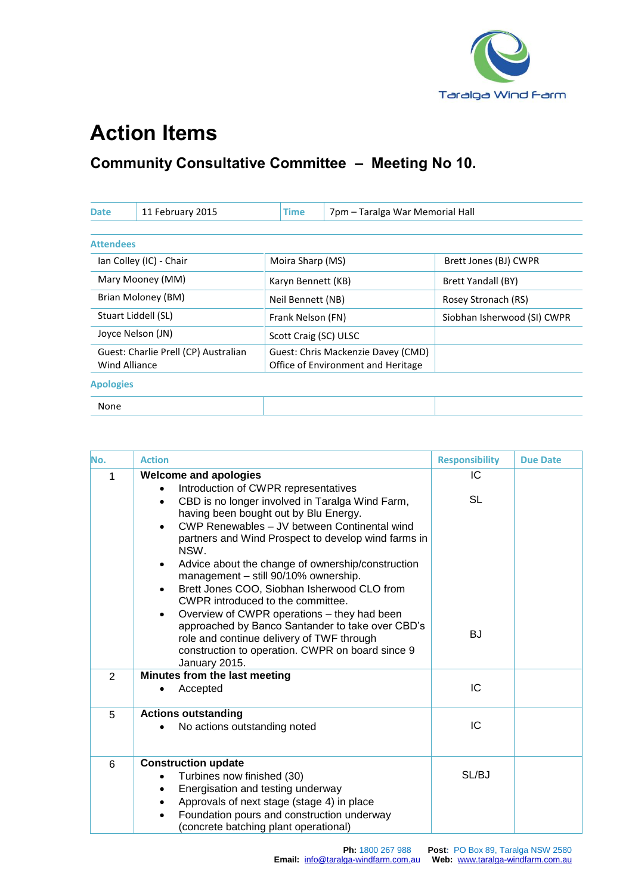

## **Action Items**

## **Community Consultative Committee – Meeting No 10.**

| <b>Date</b>                                           | 11 February 2015 | Time                                                                     | 7pm - Taralga War Memorial Hall |                             |  |
|-------------------------------------------------------|------------------|--------------------------------------------------------------------------|---------------------------------|-----------------------------|--|
|                                                       |                  |                                                                          |                                 |                             |  |
| <b>Attendees</b>                                      |                  |                                                                          |                                 |                             |  |
| Ian Colley (IC) - Chair                               |                  | Moira Sharp (MS)                                                         |                                 | Brett Jones (BJ) CWPR       |  |
| Mary Mooney (MM)                                      |                  | Karyn Bennett (KB)                                                       |                                 | Brett Yandall (BY)          |  |
| Brian Moloney (BM)                                    |                  | Neil Bennett (NB)                                                        |                                 | Rosey Stronach (RS)         |  |
| Stuart Liddell (SL)                                   |                  | Frank Nelson (FN)                                                        |                                 | Siobhan Isherwood (SI) CWPR |  |
| Joyce Nelson (JN)                                     |                  | Scott Craig (SC) ULSC                                                    |                                 |                             |  |
| Guest: Charlie Prell (CP) Australian<br>Wind Alliance |                  | Guest: Chris Mackenzie Davey (CMD)<br>Office of Environment and Heritage |                                 |                             |  |
| <b>Apologies</b>                                      |                  |                                                                          |                                 |                             |  |
| None                                                  |                  |                                                                          |                                 |                             |  |

| No.            | <b>Action</b>                                                                                                                                                                                                                                                                                                                                                                                                                                                                                                                                                                                                                                                                                                | <b>Responsibility</b>        | <b>Due Date</b> |
|----------------|--------------------------------------------------------------------------------------------------------------------------------------------------------------------------------------------------------------------------------------------------------------------------------------------------------------------------------------------------------------------------------------------------------------------------------------------------------------------------------------------------------------------------------------------------------------------------------------------------------------------------------------------------------------------------------------------------------------|------------------------------|-----------------|
| 1              | <b>Welcome and apologies</b><br>Introduction of CWPR representatives<br>CBD is no longer involved in Taralga Wind Farm,<br>$\bullet$<br>having been bought out by Blu Energy.<br>CWP Renewables - JV between Continental wind<br>partners and Wind Prospect to develop wind farms in<br>NSW.<br>Advice about the change of ownership/construction<br>٠<br>management - still 90/10% ownership.<br>Brett Jones COO, Siobhan Isherwood CLO from<br>٠<br>CWPR introduced to the committee.<br>Overview of CWPR operations - they had been<br>approached by Banco Santander to take over CBD's<br>role and continue delivery of TWF through<br>construction to operation. CWPR on board since 9<br>January 2015. | IC<br><b>SL</b><br><b>BJ</b> |                 |
| $\overline{2}$ | Minutes from the last meeting<br>Accepted                                                                                                                                                                                                                                                                                                                                                                                                                                                                                                                                                                                                                                                                    | IC                           |                 |
| 5              | <b>Actions outstanding</b><br>No actions outstanding noted                                                                                                                                                                                                                                                                                                                                                                                                                                                                                                                                                                                                                                                   | IC                           |                 |
| 6              | <b>Construction update</b><br>Turbines now finished (30)<br>$\bullet$<br>Energisation and testing underway<br>٠<br>Approvals of next stage (stage 4) in place<br>$\bullet$<br>Foundation pours and construction underway<br>(concrete batching plant operational)                                                                                                                                                                                                                                                                                                                                                                                                                                            | SL/BJ                        |                 |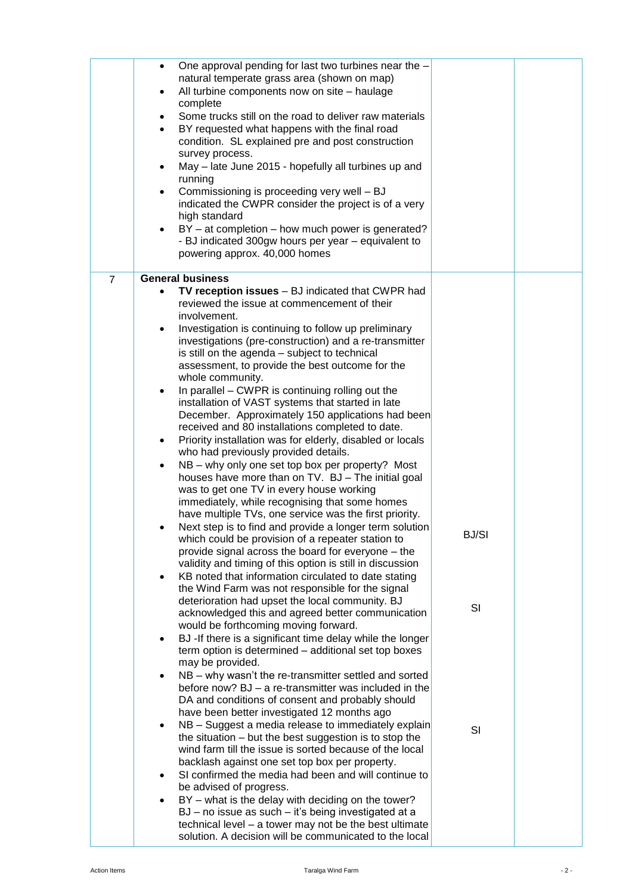|                | One approval pending for last two turbines near the -<br>$\bullet$<br>natural temperate grass area (shown on map) |              |  |
|----------------|-------------------------------------------------------------------------------------------------------------------|--------------|--|
|                | All turbine components now on site - haulage<br>٠                                                                 |              |  |
|                | complete                                                                                                          |              |  |
|                | Some trucks still on the road to deliver raw materials                                                            |              |  |
|                | BY requested what happens with the final road<br>condition. SL explained pre and post construction                |              |  |
|                | survey process.                                                                                                   |              |  |
|                | May - late June 2015 - hopefully all turbines up and                                                              |              |  |
|                | running<br>Commissioning is proceeding very well - BJ                                                             |              |  |
|                | indicated the CWPR consider the project is of a very                                                              |              |  |
|                | high standard                                                                                                     |              |  |
|                | BY - at completion - how much power is generated?                                                                 |              |  |
|                | - BJ indicated 300gw hours per year - equivalent to<br>powering approx. 40,000 homes                              |              |  |
|                |                                                                                                                   |              |  |
| $\overline{7}$ | <b>General business</b>                                                                                           |              |  |
|                | TV reception issues - BJ indicated that CWPR had<br>$\bullet$<br>reviewed the issue at commencement of their      |              |  |
|                | involvement.                                                                                                      |              |  |
|                | Investigation is continuing to follow up preliminary<br>$\bullet$                                                 |              |  |
|                | investigations (pre-construction) and a re-transmitter<br>is still on the agenda - subject to technical           |              |  |
|                | assessment, to provide the best outcome for the                                                                   |              |  |
|                | whole community.                                                                                                  |              |  |
|                | In parallel – CWPR is continuing rolling out the<br>٠<br>installation of VAST systems that started in late        |              |  |
|                | December. Approximately 150 applications had been                                                                 |              |  |
|                | received and 80 installations completed to date.                                                                  |              |  |
|                | Priority installation was for elderly, disabled or locals<br>٠                                                    |              |  |
|                | who had previously provided details.<br>NB - why only one set top box per property? Most<br>$\bullet$             |              |  |
|                | houses have more than on TV. BJ - The initial goal                                                                |              |  |
|                | was to get one TV in every house working                                                                          |              |  |
|                | immediately, while recognising that some homes<br>have multiple TVs, one service was the first priority.          |              |  |
|                | Next step is to find and provide a longer term solution<br>٠                                                      |              |  |
|                | which could be provision of a repeater station to                                                                 | <b>BJ/SI</b> |  |
|                | provide signal across the board for everyone - the<br>validity and timing of this option is still in discussion   |              |  |
|                | KB noted that information circulated to date stating<br>$\bullet$                                                 |              |  |
|                | the Wind Farm was not responsible for the signal                                                                  |              |  |
|                | deterioration had upset the local community. BJ<br>acknowledged this and agreed better communication              | SI           |  |
|                | would be forthcoming moving forward.                                                                              |              |  |
|                | BJ -If there is a significant time delay while the longer                                                         |              |  |
|                | term option is determined - additional set top boxes                                                              |              |  |
|                | may be provided.<br>NB – why wasn't the re-transmitter settled and sorted                                         |              |  |
|                | before now? BJ – a re-transmitter was included in the                                                             |              |  |
|                | DA and conditions of consent and probably should                                                                  |              |  |
|                | have been better investigated 12 months ago<br>NB - Suggest a media release to immediately explain<br>$\bullet$   |              |  |
|                | the situation $-$ but the best suggestion is to stop the                                                          | SI           |  |
|                | wind farm till the issue is sorted because of the local                                                           |              |  |
|                | backlash against one set top box per property.<br>SI confirmed the media had been and will continue to            |              |  |
|                | be advised of progress.                                                                                           |              |  |
|                | BY - what is the delay with deciding on the tower?                                                                |              |  |
|                | BJ - no issue as such - it's being investigated at a                                                              |              |  |
|                | technical level - a tower may not be the best ultimate<br>solution. A decision will be communicated to the local  |              |  |
|                |                                                                                                                   |              |  |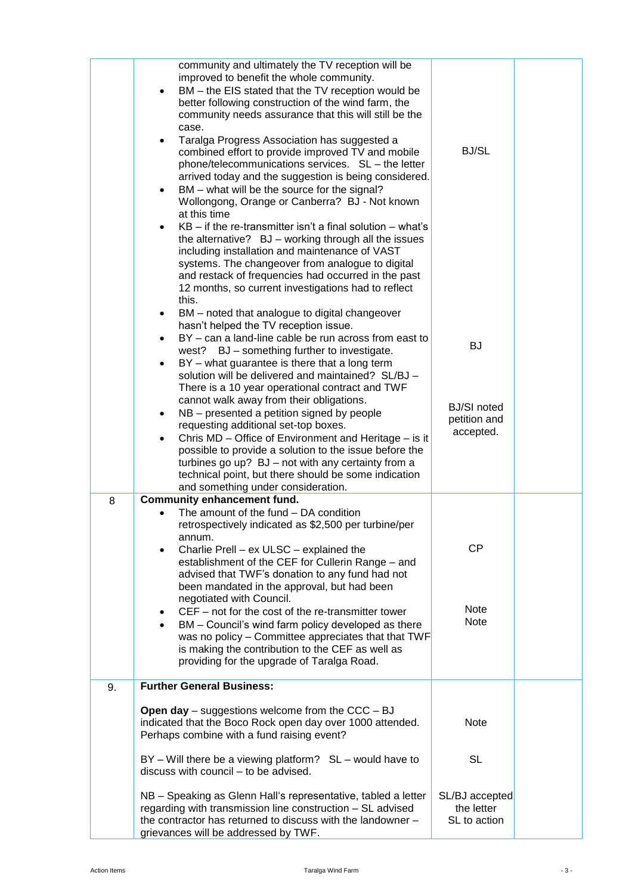|    | community and ultimately the TV reception will be<br>improved to benefit the whole community.<br>BM - the EIS stated that the TV reception would be<br>better following construction of the wind farm, the<br>community needs assurance that this will still be the<br>case.<br>Taralga Progress Association has suggested a<br>combined effort to provide improved TV and mobile<br>phone/telecommunications services. SL - the letter<br>arrived today and the suggestion is being considered.<br>BM - what will be the source for the signal?<br>Wollongong, Orange or Canberra? BJ - Not known<br>at this time<br>$KB - if$ the re-transmitter isn't a final solution $-$ what's<br>the alternative? BJ - working through all the issues<br>including installation and maintenance of VAST<br>systems. The changeover from analogue to digital<br>and restack of frequencies had occurred in the past<br>12 months, so current investigations had to reflect | <b>BJ/SL</b>                                                      |  |
|----|------------------------------------------------------------------------------------------------------------------------------------------------------------------------------------------------------------------------------------------------------------------------------------------------------------------------------------------------------------------------------------------------------------------------------------------------------------------------------------------------------------------------------------------------------------------------------------------------------------------------------------------------------------------------------------------------------------------------------------------------------------------------------------------------------------------------------------------------------------------------------------------------------------------------------------------------------------------|-------------------------------------------------------------------|--|
|    | this.<br>BM - noted that analogue to digital changeover<br>٠<br>hasn't helped the TV reception issue.<br>BY - can a land-line cable be run across from east to<br>٠<br>BJ - something further to investigate.<br>west?<br>BY – what guarantee is there that a long term<br>solution will be delivered and maintained? SL/BJ -<br>There is a 10 year operational contract and TWF<br>cannot walk away from their obligations.<br>NB - presented a petition signed by people<br>٠<br>requesting additional set-top boxes.<br>Chris MD - Office of Environment and Heritage - is it<br>possible to provide a solution to the issue before the<br>turbines go up? BJ - not with any certainty from a<br>technical point, but there should be some indication<br>and something under consideration.                                                                                                                                                                   | <b>BJ</b><br><b>BJ/SI</b> noted<br>petition and<br>accepted.      |  |
| 8  | <b>Community enhancement fund.</b><br>The amount of the fund - DA condition<br>retrospectively indicated as \$2,500 per turbine/per<br>annum.<br>Charlie Prell - ex ULSC - explained the<br>establishment of the CEF for Cullerin Range - and<br>advised that TWF's donation to any fund had not<br>been mandated in the approval, but had been<br>negotiated with Council.<br>CEF – not for the cost of the re-transmitter tower<br>BM - Council's wind farm policy developed as there<br>$\bullet$<br>was no policy - Committee appreciates that that TWF<br>is making the contribution to the CEF as well as<br>providing for the upgrade of Taralga Road.                                                                                                                                                                                                                                                                                                    | <b>CP</b><br>Note<br>Note                                         |  |
| 9. | <b>Further General Business:</b><br><b>Open day</b> – suggestions welcome from the $CCC - BJ$<br>indicated that the Boco Rock open day over 1000 attended.<br>Perhaps combine with a fund raising event?<br>$BY - Will$ there be a viewing platform? $SL -$ would have to<br>discuss with council - to be advised.<br>NB - Speaking as Glenn Hall's representative, tabled a letter<br>regarding with transmission line construction - SL advised<br>the contractor has returned to discuss with the landowner -<br>grievances will be addressed by TWF.                                                                                                                                                                                                                                                                                                                                                                                                         | <b>Note</b><br>SL<br>SL/BJ accepted<br>the letter<br>SL to action |  |